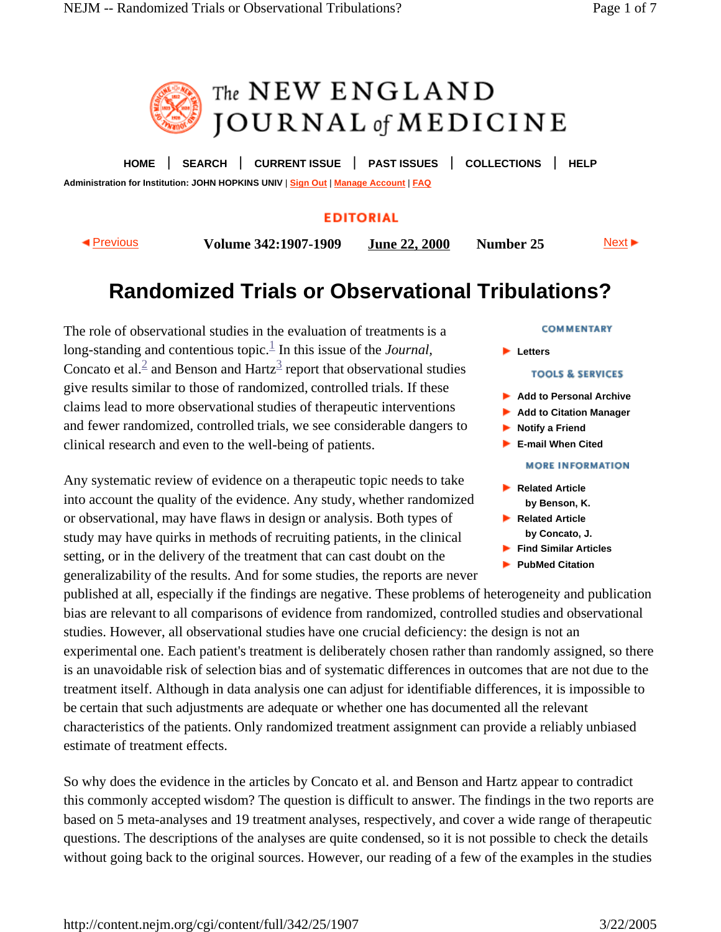

**HOME** | **SEARCH** | **CURRENT ISSUE** | **PAST ISSUES** | **COLLECTIONS** | **HELP Administration for Institution: JOHN HOPKINS UNIV** | **Sign Out** | **Manage Account** | **FAQ**

### **EDITORIAL**

**Previous Volume 342:1907-1909** June 22, 2000 Number 25 Next

**Letters**

**Add to Personal Archive Add to Citation Manager**

**COMMENTARY** 

**TOOLS & SERVICES** 

**MORE INFORMATION** 

**Notify a Friend E-mail When Cited**

**Related Article by Benson, K. Related Article by Concato, J. Find Similar Articles PubMed Citation**

# **Randomized Trials or Observational Tribulations?**

The role of observational studies in the evaluation of treatments is a long-standing and contentious topic.<sup>1</sup> In this issue of the *Journal*, Concato et al.<sup>2</sup> and Benson and Hartz<sup>3</sup> report that observational studies give results similar to those of randomized, controlled trials. If these claims lead to more observational studies of therapeutic interventions and fewer randomized, controlled trials, we see considerable dangers to clinical research and even to the well-being of patients.

Any systematic review of evidence on a therapeutic topic needs to take into account the quality of the evidence. Any study, whether randomized or observational, may have flaws in design or analysis. Both types of study may have quirks in methods of recruiting patients, in the clinical setting, or in the delivery of the treatment that can cast doubt on the generalizability of the results. And for some studies, the reports are never

published at all, especially if the findings are negative. These problems of heterogeneity and publication bias are relevant to all comparisons of evidence from randomized, controlled studies and observational studies. However, all observational studies have one crucial deficiency: the design is not an experimental one. Each patient's treatment is deliberately chosen rather than randomly assigned, so there is an unavoidable risk of selection bias and of systematic differences in outcomes that are not due to the treatment itself. Although in data analysis one can adjust for identifiable differences, it is impossible to be certain that such adjustments are adequate or whether one has documented all the relevant characteristics of the patients. Only randomized treatment assignment can provide a reliably unbiased estimate of treatment effects.

So why does the evidence in the articles by Concato et al. and Benson and Hartz appear to contradict this commonly accepted wisdom? The question is difficult to answer. The findings in the two reports are based on 5 meta-analyses and 19 treatment analyses, respectively, and cover a wide range of therapeutic questions. The descriptions of the analyses are quite condensed, so it is not possible to check the details without going back to the original sources. However, our reading of a few of the examples in the studies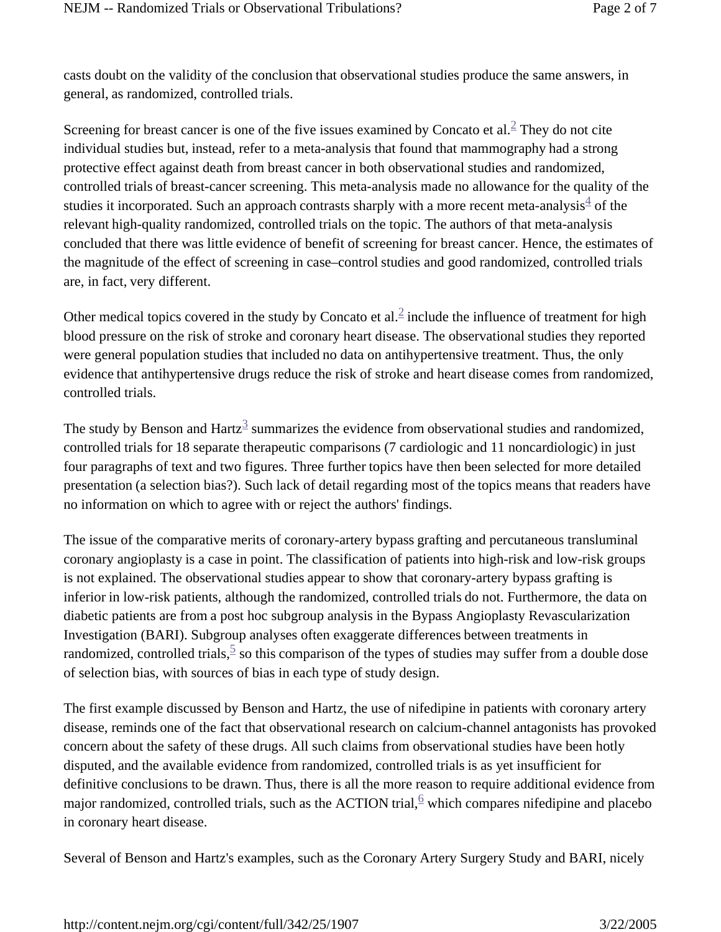casts doubt on the validity of the conclusion that observational studies produce the same answers, in general, as randomized, controlled trials.

Screening for breast cancer is one of the five issues examined by Concato et al. $\frac{2}{3}$  They do not cite individual studies but, instead, refer to a meta-analysis that found that mammography had a strong protective effect against death from breast cancer in both observational studies and randomized, controlled trials of breast-cancer screening. This meta-analysis made no allowance for the quality of the studies it incorporated. Such an approach contrasts sharply with a more recent meta-analysis $\frac{4}{3}$  of the relevant high-quality randomized, controlled trials on the topic. The authors of that meta-analysis concluded that there was little evidence of benefit of screening for breast cancer. Hence, the estimates of the magnitude of the effect of screening in case–control studies and good randomized, controlled trials are, in fact, very different.

Other medical topics covered in the study by Concato et al.<sup>2</sup> include the influence of treatment for high blood pressure on the risk of stroke and coronary heart disease. The observational studies they reported were general population studies that included no data on antihypertensive treatment. Thus, the only evidence that antihypertensive drugs reduce the risk of stroke and heart disease comes from randomized, controlled trials.

The study by Benson and Hartz<sup>3</sup> summarizes the evidence from observational studies and randomized, controlled trials for 18 separate therapeutic comparisons (7 cardiologic and 11 noncardiologic) in just four paragraphs of text and two figures. Three further topics have then been selected for more detailed presentation (a selection bias?). Such lack of detail regarding most of the topics means that readers have no information on which to agree with or reject the authors' findings.

The issue of the comparative merits of coronary-artery bypass grafting and percutaneous transluminal coronary angioplasty is a case in point. The classification of patients into high-risk and low-risk groups is not explained. The observational studies appear to show that coronary-artery bypass grafting is inferior in low-risk patients, although the randomized, controlled trials do not. Furthermore, the data on diabetic patients are from a post hoc subgroup analysis in the Bypass Angioplasty Revascularization Investigation (BARI). Subgroup analyses often exaggerate differences between treatments in randomized, controlled trials,  $\frac{5}{5}$  so this comparison of the types of studies may suffer from a double dose of selection bias, with sources of bias in each type of study design.

The first example discussed by Benson and Hartz, the use of nifedipine in patients with coronary artery disease, reminds one of the fact that observational research on calcium-channel antagonists has provoked concern about the safety of these drugs. All such claims from observational studies have been hotly disputed, and the available evidence from randomized, controlled trials is as yet insufficient for definitive conclusions to be drawn. Thus, there is all the more reason to require additional evidence from major randomized, controlled trials, such as the ACTION trial,  $6 \overline{6}$  which compares nifedipine and placebo in coronary heart disease.

Several of Benson and Hartz's examples, such as the Coronary Artery Surgery Study and BARI, nicely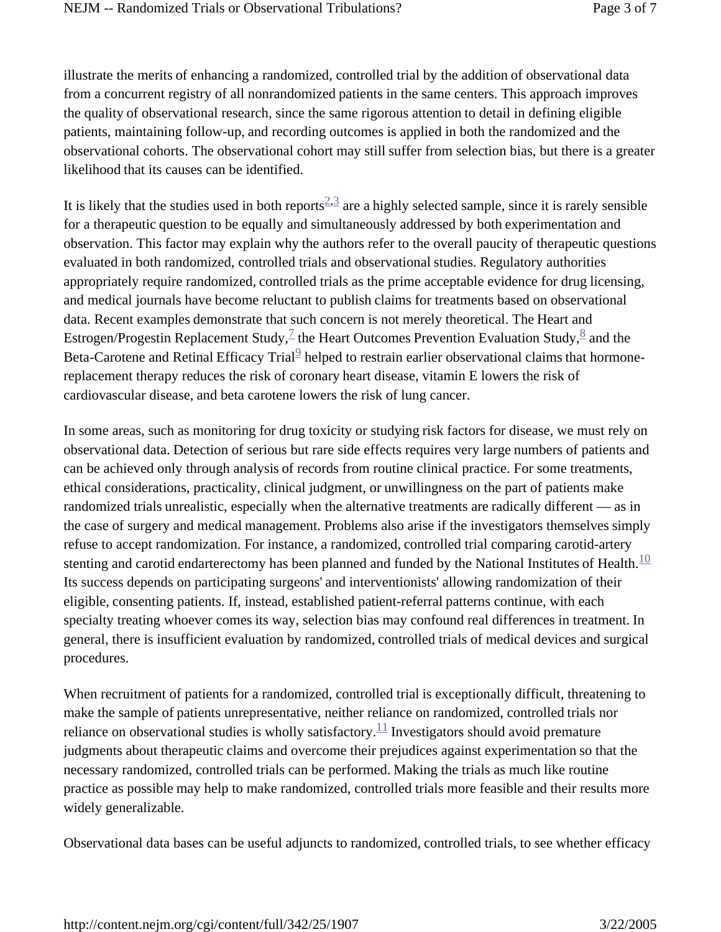illustrate the merits of enhancing a randomized, controlled trial by the addition of observational data from a concurrent registry of all nonrandomized patients in the same centers. This approach improves the quality of observational research, since the same rigorous attention to detail in defining eligible patients, maintaining follow-up, and recording outcomes is applied in both the randomized and the observational cohorts. The observational cohort may still suffer from selection bias, but there is a greater likelihood that its causes can be identified.

It is likely that the studies used in both reports<sup>2, 3</sup> are a highly selected sample, since it is rarely sensible for a therapeutic question to be equally and simultaneously addressed by both experimentation and observation. This factor may explain why the authors refer to the overall paucity of therapeutic questions evaluated in both randomized, controlled trials and observational studies. Regulatory authorities appropriately require randomized, controlled trials as the prime acceptable evidence for drug licensing, and medical journals have become reluctant to publish claims for treatments based on observational data. Recent examples demonstrate that such concern is not merely theoretical. The Heart and Estrogen/Progestin Replacement Study,  $\frac{7}{2}$  the Heart Outcomes Prevention Evaluation Study,  $\frac{8}{3}$  and the Beta-Carotene and Retinal Efficacy Trial<sup>2</sup> helped to restrain earlier observational claims that hormonereplacement therapy reduces the risk of coronary heart disease, vitamin E lowers the risk of cardiovascular disease, and beta carotene lowers the risk of lung cancer.

In some areas, such as monitoring for drug toxicity or studying risk factors for disease, we must rely on observational data. Detection of serious but rare side effects requires very large numbers of patients and can be achieved only through analysis of records from routine clinical practice. For some treatments, ethical considerations, practicality, clinical judgment, or unwillingness on the part of patients make randomized trials unrealistic, especially when the alternative treatments are radically different — as in the case of surgery and medical management. Problems also arise if the investigators themselves simply refuse to accept randomization. For instance, a randomized, controlled trial comparing carotid-artery stenting and carotid endarterectomy has been planned and funded by the National Institutes of Health. $10$ Its success depends on participating surgeons' and interventionists' allowing randomization of their eligible, consenting patients. If, instead, established patient-referral patterns continue, with each specialty treating whoever comes its way, selection bias may confound real differences in treatment. In general, there is insufficient evaluation by randomized, controlled trials of medical devices and surgical procedures.

When recruitment of patients for a randomized, controlled trial is exceptionally difficult, threatening to make the sample of patients unrepresentative, neither reliance on randomized, controlled trials nor reliance on observational studies is wholly satisfactory.<sup>11</sup> Investigators should avoid premature judgments about therapeutic claims and overcome their prejudices against experimentation so that the necessary randomized, controlled trials can be performed. Making the trials as much like routine practice as possible may help to make randomized, controlled trials more feasible and their results more widely generalizable.

Observational data bases can be useful adjuncts to randomized, controlled trials, to see whether efficacy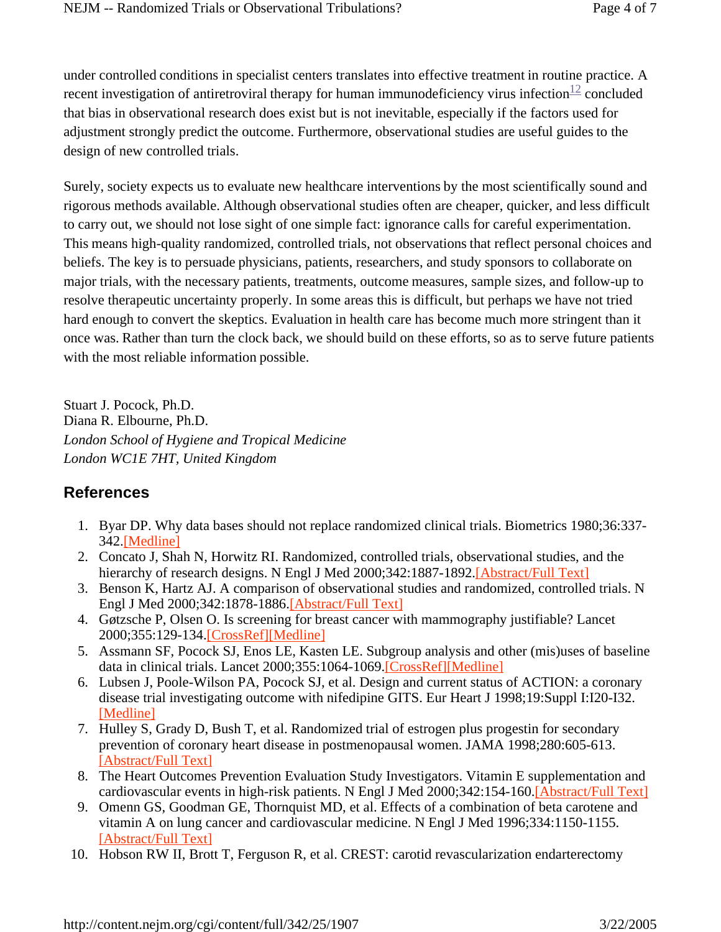under controlled conditions in specialist centers translates into effective treatment in routine practice. A recent investigation of antiretroviral therapy for human immunodeficiency virus infection $12$  concluded that bias in observational research does exist but is not inevitable, especially if the factors used for adjustment strongly predict the outcome. Furthermore, observational studies are useful guides to the design of new controlled trials.

Surely, society expects us to evaluate new healthcare interventions by the most scientifically sound and rigorous methods available. Although observational studies often are cheaper, quicker, and less difficult to carry out, we should not lose sight of one simple fact: ignorance calls for careful experimentation. This means high-quality randomized, controlled trials, not observations that reflect personal choices and beliefs. The key is to persuade physicians, patients, researchers, and study sponsors to collaborate on major trials, with the necessary patients, treatments, outcome measures, sample sizes, and follow-up to resolve therapeutic uncertainty properly. In some areas this is difficult, but perhaps we have not tried hard enough to convert the skeptics. Evaluation in health care has become much more stringent than it once was. Rather than turn the clock back, we should build on these efforts, so as to serve future patients with the most reliable information possible.

Stuart J. Pocock, Ph.D. Diana R. Elbourne, Ph.D. *London School of Hygiene and Tropical Medicine London WC1E 7HT, United Kingdom*

## **References**

- 1. Byar DP. Why data bases should not replace randomized clinical trials. Biometrics 1980;36:337- 342.[Medline]
- 2. Concato J, Shah N, Horwitz RI. Randomized, controlled trials, observational studies, and the hierarchy of research designs. N Engl J Med 2000;342:1887-1892.[Abstract/Full Text]
- 3. Benson K, Hartz AJ. A comparison of observational studies and randomized, controlled trials. N Engl J Med 2000;342:1878-1886.[Abstract/Full Text]
- 4. Gøtzsche P, Olsen O. Is screening for breast cancer with mammography justifiable? Lancet 2000;355:129-134.[CrossRef][Medline]
- 5. Assmann SF, Pocock SJ, Enos LE, Kasten LE. Subgroup analysis and other (mis)uses of baseline data in clinical trials. Lancet 2000;355:1064-1069.[CrossRef][Medline]
- 6. Lubsen J, Poole-Wilson PA, Pocock SJ, et al. Design and current status of ACTION: a coronary disease trial investigating outcome with nifedipine GITS. Eur Heart J 1998;19:Suppl I:I20-I32. [Medline]
- 7. Hulley S, Grady D, Bush T, et al. Randomized trial of estrogen plus progestin for secondary prevention of coronary heart disease in postmenopausal women. JAMA 1998;280:605-613. [Abstract/Full Text]
- 8. The Heart Outcomes Prevention Evaluation Study Investigators. Vitamin E supplementation and cardiovascular events in high-risk patients. N Engl J Med 2000;342:154-160.[Abstract/Full Text]
- 9. Omenn GS, Goodman GE, Thornquist MD, et al. Effects of a combination of beta carotene and vitamin A on lung cancer and cardiovascular medicine. N Engl J Med 1996;334:1150-1155. [Abstract/Full Text]
- 10. Hobson RW II, Brott T, Ferguson R, et al. CREST: carotid revascularization endarterectomy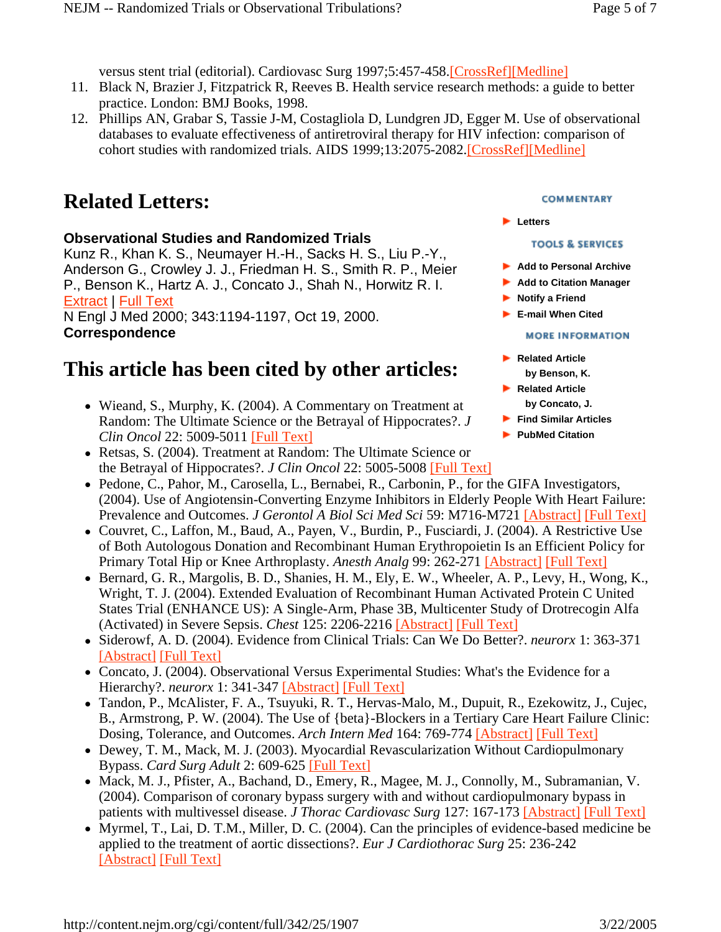versus stent trial (editorial). Cardiovasc Surg 1997;5:457-458.[CrossRef][Medline]

- 11. Black N, Brazier J, Fitzpatrick R, Reeves B. Health service research methods: a guide to better practice. London: BMJ Books, 1998.
- 12. Phillips AN, Grabar S, Tassie J-M, Costagliola D, Lundgren JD, Egger M. Use of observational databases to evaluate effectiveness of antiretroviral therapy for HIV infection: comparison of cohort studies with randomized trials. AIDS 1999;13:2075-2082.[CrossRef][Medline]

## **Related Letters:**

## **Observational Studies and Randomized Trials**

Kunz R., Khan K. S., Neumayer H.-H., Sacks H. S., Liu P.-Y., Anderson G., Crowley J. J., Friedman H. S., Smith R. P., Meier P., Benson K., Hartz A. J., Concato J., Shah N., Horwitz R. I. **Extract | Full Text** N Engl J Med 2000; 343:1194-1197, Oct 19, 2000. **Correspondence**

## **This article has been cited by other articles:**

- Wieand, S., Murphy, K. (2004). A Commentary on Treatment at Random: The Ultimate Science or the Betrayal of Hippocrates?. *J Clin Oncol* 22: 5009-5011 [Full Text]
- Retsas, S. (2004). Treatment at Random: The Ultimate Science or the Betrayal of Hippocrates?. *J Clin Oncol* 22: 5005-5008 [Full Text]
- Pedone, C., Pahor, M., Carosella, L., Bernabei, R., Carbonin, P., for the GIFA Investigators, (2004). Use of Angiotensin-Converting Enzyme Inhibitors in Elderly People With Heart Failure: Prevalence and Outcomes. *J Gerontol A Biol Sci Med Sci* 59: M716-M721 [Abstract] [Full Text]
- Couvret, C., Laffon, M., Baud, A., Payen, V., Burdin, P., Fusciardi, J. (2004). A Restrictive Use of Both Autologous Donation and Recombinant Human Erythropoietin Is an Efficient Policy for Primary Total Hip or Knee Arthroplasty. *Anesth Analg* 99: 262-271 [Abstract] [Full Text]
- Bernard, G. R., Margolis, B. D., Shanies, H. M., Ely, E. W., Wheeler, A. P., Levy, H., Wong, K., Wright, T. J. (2004). Extended Evaluation of Recombinant Human Activated Protein C United States Trial (ENHANCE US): A Single-Arm, Phase 3B, Multicenter Study of Drotrecogin Alfa (Activated) in Severe Sepsis. *Chest* 125: 2206-2216 [Abstract] [Full Text]
- <sup>z</sup> Siderowf, A. D. (2004). Evidence from Clinical Trials: Can We Do Better?. *neurorx* 1: 363-371 [Abstract] [Full Text]
- Concato, J. (2004). Observational Versus Experimental Studies: What's the Evidence for a Hierarchy?. *neurorx* 1: 341-347 [Abstract] [Full Text]
- Tandon, P., McAlister, F. A., Tsuyuki, R. T., Hervas-Malo, M., Dupuit, R., Ezekowitz, J., Cujec, B., Armstrong, P. W. (2004). The Use of {beta}-Blockers in a Tertiary Care Heart Failure Clinic: Dosing, Tolerance, and Outcomes. *Arch Intern Med* 164: 769-774 [Abstract] [Full Text]
- Dewey, T. M., Mack, M. J. (2003). Myocardial Revascularization Without Cardiopulmonary Bypass. *Card Surg Adult* 2: 609-625 [Full Text]
- Mack, M. J., Pfister, A., Bachand, D., Emery, R., Magee, M. J., Connolly, M., Subramanian, V. (2004). Comparison of coronary bypass surgery with and without cardiopulmonary bypass in patients with multivessel disease. *J Thorac Cardiovasc Surg* 127: 167-173 [Abstract] [Full Text]
- Myrmel, T., Lai, D. T.M., Miller, D. C. (2004). Can the principles of evidence-based medicine be applied to the treatment of aortic dissections?. *Eur J Cardiothorac Surg* 25: 236-242 [Abstract] [Full Text]

#### **COMMENTARY**

**Letters**

### **TOOLS & SERVICES**

- **Add to Personal Archive**
- **Add to Citation Manager**
- **Notify a Friend**
- **E-mail When Cited**

#### **MORE INFORMATION**

- **Related Article by Benson, K.**
- **Related Article by Concato, J.**
- **Find Similar Articles**
- **PubMed Citation**
-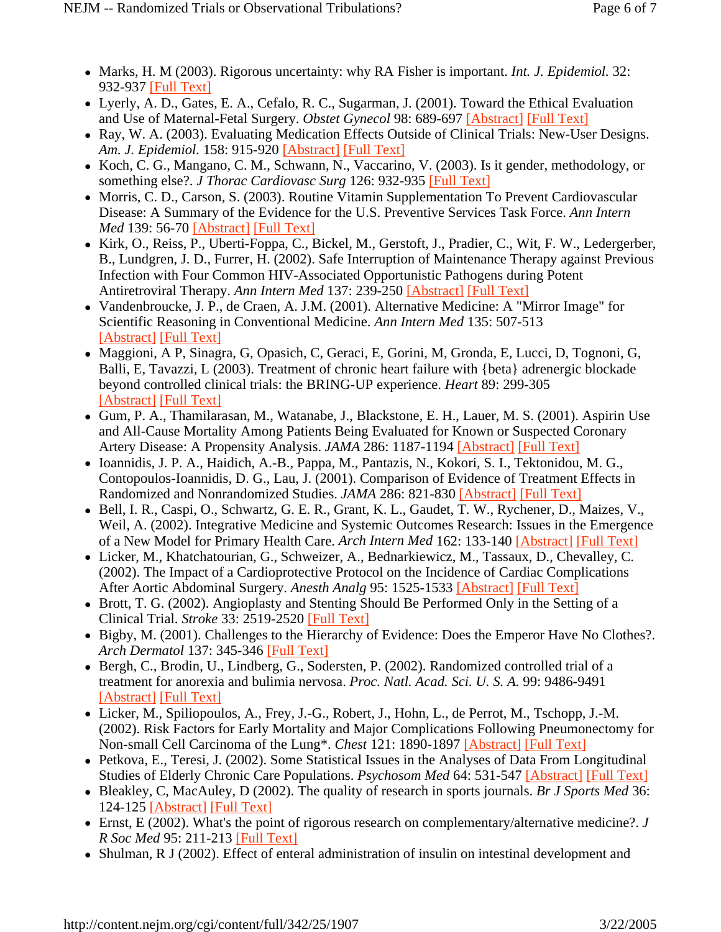- Marks, H. M (2003). Rigorous uncertainty: why RA Fisher is important. *Int. J. Epidemiol.* 32: 932-937 [Full Text]
- Lyerly, A. D., Gates, E. A., Cefalo, R. C., Sugarman, J. (2001). Toward the Ethical Evaluation and Use of Maternal-Fetal Surgery. *Obstet Gynecol* 98: 689-697 [Abstract] [Full Text]
- Ray, W. A. (2003). Evaluating Medication Effects Outside of Clinical Trials: New-User Designs. *Am. J. Epidemiol.* 158: 915-920 [Abstract] [Full Text]
- Koch, C. G., Mangano, C. M., Schwann, N., Vaccarino, V. (2003). Is it gender, methodology, or something else?. *J Thorac Cardiovasc Surg* 126: 932-935 [Full Text]
- Morris, C. D., Carson, S. (2003). Routine Vitamin Supplementation To Prevent Cardiovascular Disease: A Summary of the Evidence for the U.S. Preventive Services Task Force. *Ann Intern Med* 139: 56-70 [Abstract] [Full Text]
- Kirk, O., Reiss, P., Uberti-Foppa, C., Bickel, M., Gerstoft, J., Pradier, C., Wit, F. W., Ledergerber, B., Lundgren, J. D., Furrer, H. (2002). Safe Interruption of Maintenance Therapy against Previous Infection with Four Common HIV-Associated Opportunistic Pathogens during Potent Antiretroviral Therapy. *Ann Intern Med* 137: 239-250 [Abstract] [Full Text]
- Vandenbroucke, J. P., de Craen, A. J.M. (2001). Alternative Medicine: A "Mirror Image" for Scientific Reasoning in Conventional Medicine. *Ann Intern Med* 135: 507-513 [Abstract] [Full Text]
- Maggioni, A P, Sinagra, G, Opasich, C, Geraci, E, Gorini, M, Gronda, E, Lucci, D, Tognoni, G, Balli, E, Tavazzi, L (2003). Treatment of chronic heart failure with {beta} adrenergic blockade beyond controlled clinical trials: the BRING-UP experience. *Heart* 89: 299-305 [Abstract] [Full Text]
- Gum, P. A., Thamilarasan, M., Watanabe, J., Blackstone, E. H., Lauer, M. S. (2001). Aspirin Use and All-Cause Mortality Among Patients Being Evaluated for Known or Suspected Coronary Artery Disease: A Propensity Analysis. *JAMA* 286: 1187-1194 [Abstract] [Full Text]
- <sup>z</sup> Ioannidis, J. P. A., Haidich, A.-B., Pappa, M., Pantazis, N., Kokori, S. I., Tektonidou, M. G., Contopoulos-Ioannidis, D. G., Lau, J. (2001). Comparison of Evidence of Treatment Effects in Randomized and Nonrandomized Studies. *JAMA* 286: 821-830 [Abstract] [Full Text]
- <sup>z</sup> Bell, I. R., Caspi, O., Schwartz, G. E. R., Grant, K. L., Gaudet, T. W., Rychener, D., Maizes, V., Weil, A. (2002). Integrative Medicine and Systemic Outcomes Research: Issues in the Emergence of a New Model for Primary Health Care. *Arch Intern Med* 162: 133-140 [Abstract] [Full Text]
- Licker, M., Khatchatourian, G., Schweizer, A., Bednarkiewicz, M., Tassaux, D., Chevalley, C. (2002). The Impact of a Cardioprotective Protocol on the Incidence of Cardiac Complications After Aortic Abdominal Surgery. *Anesth Analg* 95: 1525-1533 [Abstract] [Full Text]
- Brott, T. G. (2002). Angioplasty and Stenting Should Be Performed Only in the Setting of a Clinical Trial. *Stroke* 33: 2519-2520 [Full Text]
- Bigby, M. (2001). Challenges to the Hierarchy of Evidence: Does the Emperor Have No Clothes?. *Arch Dermatol* 137: 345-346 [Full Text]
- Bergh, C., Brodin, U., Lindberg, G., Sodersten, P. (2002). Randomized controlled trial of a treatment for anorexia and bulimia nervosa. *Proc. Natl. Acad. Sci. U. S. A.* 99: 9486-9491 [Abstract] [Full Text]
- Licker, M., Spiliopoulos, A., Frey, J.-G., Robert, J., Hohn, L., de Perrot, M., Tschopp, J.-M. (2002). Risk Factors for Early Mortality and Major Complications Following Pneumonectomy for Non-small Cell Carcinoma of the Lung\*. *Chest* 121: 1890-1897 [Abstract] [Full Text]
- Petkova, E., Teresi, J. (2002). Some Statistical Issues in the Analyses of Data From Longitudinal Studies of Elderly Chronic Care Populations. *Psychosom Med* 64: 531-547 [Abstract] [Full Text]
- Bleakley, C, MacAuley, D (2002). The quality of research in sports journals. *Br J Sports Med* 36: 124-125 [Abstract] [Full Text]
- Ernst, E (2002). What's the point of rigorous research on complementary/alternative medicine?. *J R Soc Med* 95: 211-213 [Full Text]
- Shulman, R J (2002). Effect of enteral administration of insulin on intestinal development and